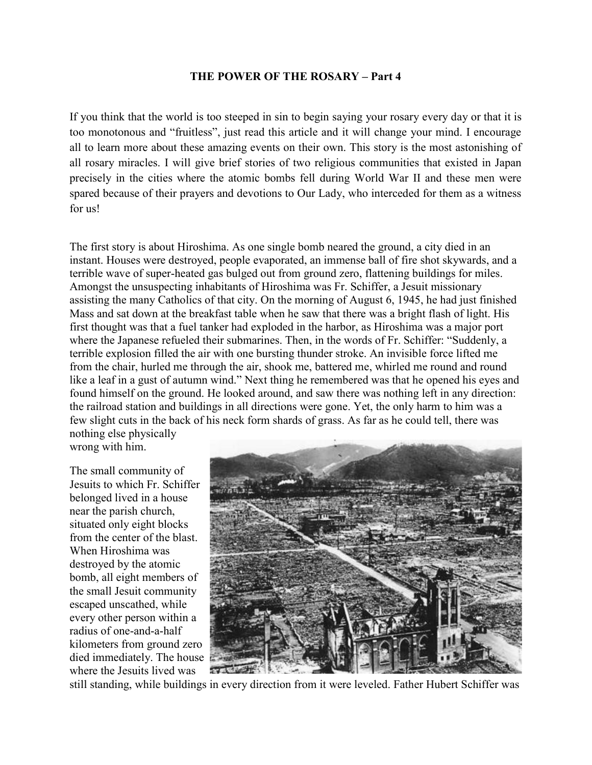## THE POWER OF THE ROSARY – Part 4

If you think that the world is too steeped in sin to begin saying your rosary every day or that it is too monotonous and "fruitless", just read this article and it will change your mind. I encourage all to learn more about these amazing events on their own. This story is the most astonishing of all rosary miracles. I will give brief stories of two religious communities that existed in Japan precisely in the cities where the atomic bombs fell during World War II and these men were spared because of their prayers and devotions to Our Lady, who interceded for them as a witness for us!

The first story is about Hiroshima. As one single bomb neared the ground, a city died in an instant. Houses were destroyed, people evaporated, an immense ball of fire shot skywards, and a terrible wave of super-heated gas bulged out from ground zero, flattening buildings for miles. Amongst the unsuspecting inhabitants of Hiroshima was Fr. Schiffer, a Jesuit missionary assisting the many Catholics of that city. On the morning of August 6, 1945, he had just finished Mass and sat down at the breakfast table when he saw that there was a bright flash of light. His first thought was that a fuel tanker had exploded in the harbor, as Hiroshima was a major port where the Japanese refueled their submarines. Then, in the words of Fr. Schiffer: "Suddenly, a terrible explosion filled the air with one bursting thunder stroke. An invisible force lifted me from the chair, hurled me through the air, shook me, battered me, whirled me round and round like a leaf in a gust of autumn wind." Next thing he remembered was that he opened his eyes and found himself on the ground. He looked around, and saw there was nothing left in any direction: the railroad station and buildings in all directions were gone. Yet, the only harm to him was a few slight cuts in the back of his neck form shards of grass. As far as he could tell, there was nothing else physically

wrong with him.

The small community of Jesuits to which Fr. Schiffer belonged lived in a house near the parish church, situated only eight blocks from the center of the blast. When Hiroshima was destroyed by the atomic bomb, all eight members of the small Jesuit community escaped unscathed, while every other person within a radius of one-and-a-half kilometers from ground zero died immediately. The house where the Jesuits lived was



still standing, while buildings in every direction from it were leveled. Father Hubert Schiffer was